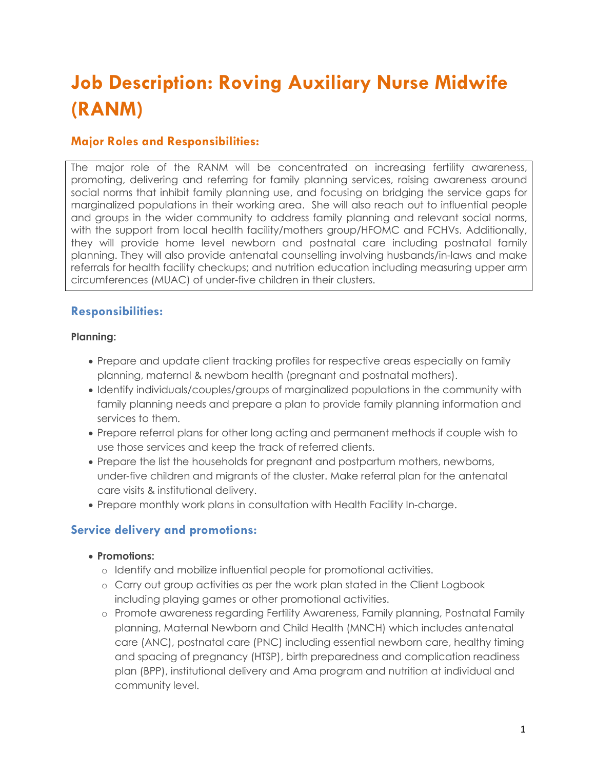# **Job Description: Roving Auxiliary Nurse Midwife (RANM)**

# **Major Roles and Responsibilities:**

The major role of the RANM will be concentrated on increasing fertility awareness, promoting, delivering and referring for family planning services, raising awareness around social norms that inhibit family planning use, and focusing on bridging the service gaps for marginalized populations in their working area. She will also reach out to influential people and groups in the wider community to address family planning and relevant social norms, with the support from local health facility/mothers group/HFOMC and FCHVs. Additionally, they will provide home level newborn and postnatal care including postnatal family planning. They will also provide antenatal counselling involving husbands/in-laws and make referrals for health facility checkups; and nutrition education including measuring upper arm circumferences (MUAC) of under-five children in their clusters.

# **Responsibilities:**

#### **Planning:**

- Prepare and update client tracking profiles for respective areas especially on family planning, maternal & newborn health (pregnant and postnatal mothers).
- Identify individuals/couples/groups of marginalized populations in the community with family planning needs and prepare a plan to provide family planning information and services to them.
- Prepare referral plans for other long acting and permanent methods if couple wish to use those services and keep the track of referred clients.
- Prepare the list the households for pregnant and postpartum mothers, newborns, under-five children and migrants of the cluster. Make referral plan for the antenatal care visits & institutional delivery.
- Prepare monthly work plans in consultation with Health Facility In-charge.

# **Service delivery and promotions:**

#### • **Promotions:**

- o Identify and mobilize influential people for promotional activities.
- o Carry out group activities as per the work plan stated in the Client Logbook including playing games or other promotional activities.
- o Promote awareness regarding Fertility Awareness, Family planning, Postnatal Family planning, Maternal Newborn and Child Health (MNCH) which includes antenatal care (ANC), postnatal care (PNC) including essential newborn care, healthy timing and spacing of pregnancy (HTSP), birth preparedness and complication readiness plan (BPP), institutional delivery and Ama program and nutrition at individual and community level.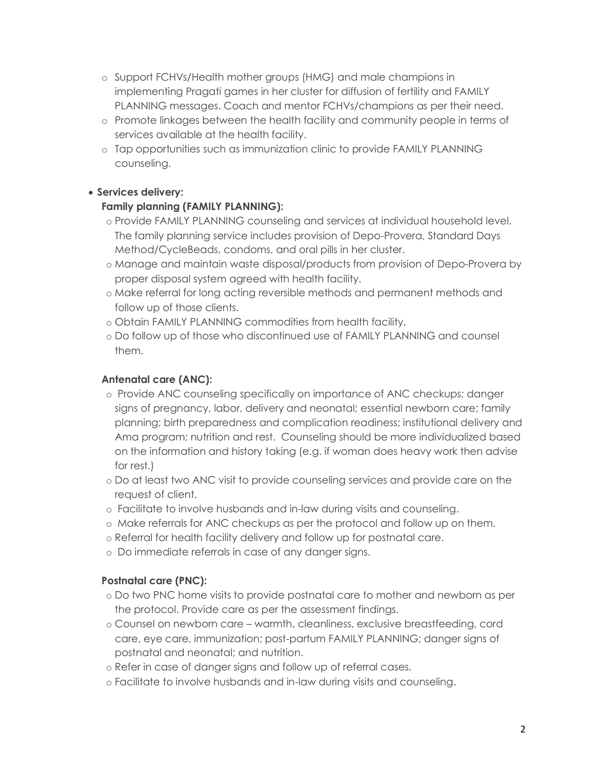- o Support FCHVs/Health mother groups (HMG) and male champions in implementing Pragati games in her cluster for diffusion of fertility and FAMILY PLANNING messages. Coach and mentor FCHVs/champions as per their need.
- o Promote linkages between the health facility and community people in terms of services available at the health facility.
- o Tap opportunities such as immunization clinic to provide FAMILY PLANNING counseling.

## • **Services delivery:**

## **Family planning (FAMILY PLANNING):**

- o Provide FAMILY PLANNING counseling and services at individual household level. The family planning service includes provision of Depo-Provera, Standard Days Method/CycleBeads, condoms, and oral pills in her cluster.
- o Manage and maintain waste disposal/products from provision of Depo-Provera by proper disposal system agreed with health facility.
- o Make referral for long acting reversible methods and permanent methods and follow up of those clients.
- o Obtain FAMILY PLANNING commodities from health facility.
- o Do follow up of those who discontinued use of FAMILY PLANNING and counsel them.

## **Antenatal care (ANC):**

- o Provide ANC counseling specifically on importance of ANC checkups; danger signs of pregnancy, labor, delivery and neonatal; essential newborn care; family planning; birth preparedness and complication readiness; institutional delivery and Ama program; nutrition and rest. Counseling should be more individualized based on the information and history taking (e.g. if woman does heavy work then advise for rest.)
- o Do at least two ANC visit to provide counseling services and provide care on the request of client.
- o Facilitate to involve husbands and in-law during visits and counseling.
- o Make referrals for ANC checkups as per the protocol and follow up on them.
- o Referral for health facility delivery and follow up for postnatal care.
- o Do immediate referrals in case of any danger signs.

#### **Postnatal care (PNC):**

- o Do two PNC home visits to provide postnatal care to mother and newborn as per the protocol. Provide care as per the assessment findings.
- o Counsel on newborn care warmth, cleanliness, exclusive breastfeeding, cord care, eye care, immunization; post-partum FAMILY PLANNING; danger signs of postnatal and neonatal; and nutrition.
- o Refer in case of danger signs and follow up of referral cases.
- o Facilitate to involve husbands and in-law during visits and counseling.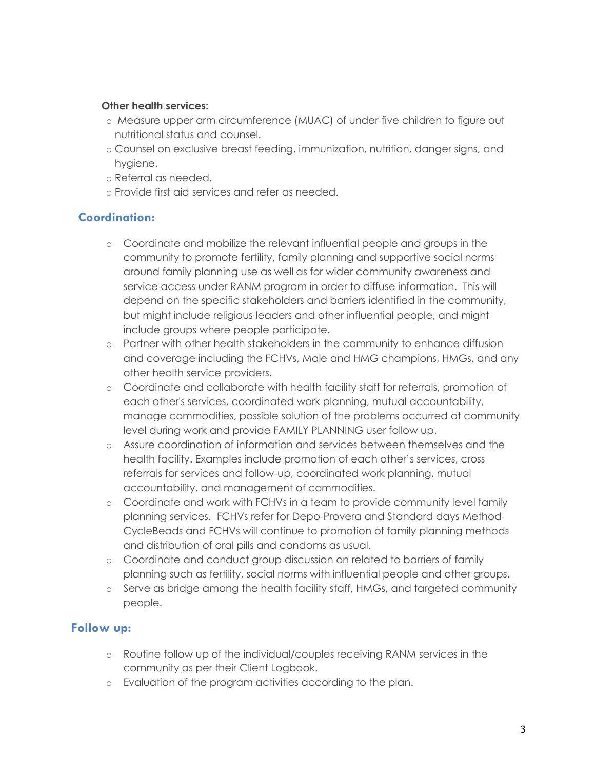#### **Other health services:**

- o Measure upper arm circumference (MUAC) of under-five children to figure out nutritional status and counsel.
- o Counsel on exclusive breast feeding, immunization, nutrition, danger signs, and hygiene.
- o Referral as needed.
- o Provide first aid services and refer as needed.

## **Coordination:**

- o Coordinate and mobilize the relevant influential people and groups in the community to promote fertility, family planning and supportive social norms around family planning use as well as for wider community awareness and service access under RANM program in order to diffuse information. This will depend on the specific stakeholders and barriers identified in the community, but might include religious leaders and other influential people, and might include groups where people participate.
- o Partner with other health stakeholders in the community to enhance diffusion and coverage including the FCHVs, Male and HMG champions, HMGs, and any other health service providers.
- o Coordinate and collaborate with health facility staff for referrals, promotion of each other's services, coordinated work planning, mutual accountability, manage commodities, possible solution of the problems occurred at community level during work and provide FAMILY PLANNING user follow up.
- o Assure coordination of information and services between themselves and the health facility. Examples include promotion of each other's services, cross referrals for services and follow-up, coordinated work planning, mutual accountability, and management of commodities.
- o Coordinate and work with FCHVs in a team to provide community level family planning services. FCHVs refer for Depo-Provera and Standard days Method-CycleBeads and FCHVs will continue to promotion of family planning methods and distribution of oral pills and condoms as usual.
- o Coordinate and conduct group discussion on related to barriers of family planning such as fertility, social norms with influential people and other groups.
- o Serve as bridge among the health facility staff, HMGs, and targeted community people.

## **Follow up:**

- o Routine follow up of the individual/couples receiving RANM services in the community as per their Client Logbook.
- o Evaluation of the program activities according to the plan.